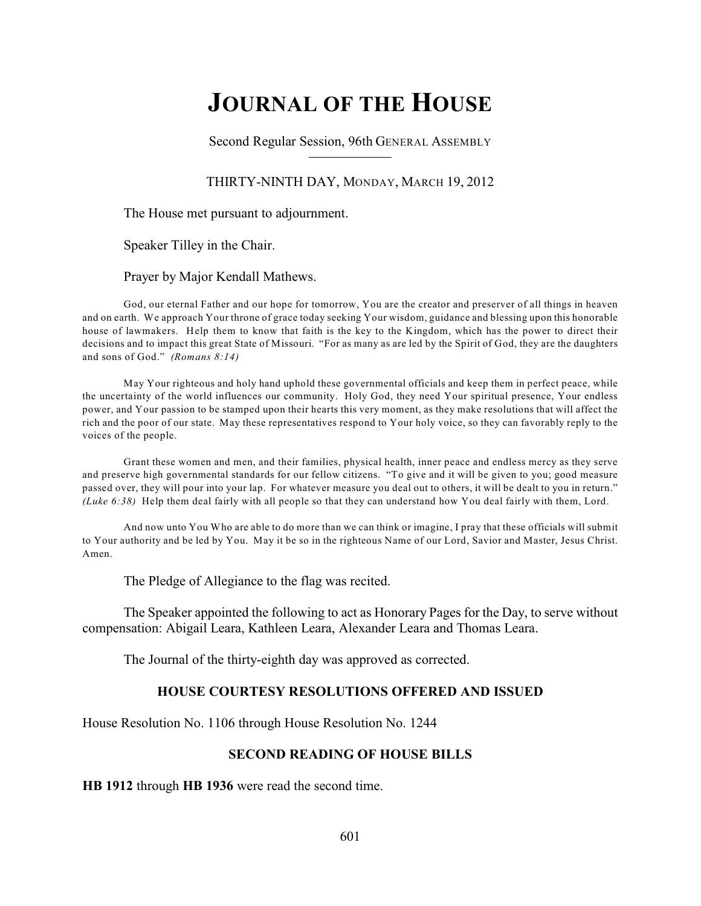# **JOURNAL OF THE HOUSE**

Second Regular Session, 96th GENERAL ASSEMBLY

## THIRTY-NINTH DAY, MONDAY, MARCH 19, 2012

The House met pursuant to adjournment.

Speaker Tilley in the Chair.

Prayer by Major Kendall Mathews.

God, our eternal Father and our hope for tomorrow, You are the creator and preserver of all things in heaven and on earth. We approach Your throne of grace today seeking Your wisdom, guidance and blessing upon this honorable house of lawmakers. Help them to know that faith is the key to the Kingdom, which has the power to direct their decisions and to impact this great State of Missouri. "For as many as are led by the Spirit of God, they are the daughters and sons of God." *(Romans 8:14)*

May Your righteous and holy hand uphold these governmental officials and keep them in perfect peace, while the uncertainty of the world influences our community. Holy God, they need Your spiritual presence, Your endless power, and Your passion to be stamped upon their hearts this very moment, as they make resolutions that will affect the rich and the poor of our state. May these representatives respond to Your holy voice, so they can favorably reply to the voices of the people.

Grant these women and men, and their families, physical health, inner peace and endless mercy as they serve and preserve high governmental standards for our fellow citizens. "To give and it will be given to you; good measure passed over, they will pour into your lap. For whatever measure you deal out to others, it will be dealt to you in return." *(Luke 6:38)* Help them deal fairly with all people so that they can understand how You deal fairly with them, Lord.

And now unto You Who are able to do more than we can think or imagine, I pray that these officials will submit to Your authority and be led by You. May it be so in the righteous Name of our Lord, Savior and Master, Jesus Christ. Amen.

The Pledge of Allegiance to the flag was recited.

The Speaker appointed the following to act as Honorary Pages for the Day, to serve without compensation: Abigail Leara, Kathleen Leara, Alexander Leara and Thomas Leara.

The Journal of the thirty-eighth day was approved as corrected.

## **HOUSE COURTESY RESOLUTIONS OFFERED AND ISSUED**

House Resolution No. 1106 through House Resolution No. 1244

# **SECOND READING OF HOUSE BILLS**

**HB 1912** through **HB 1936** were read the second time.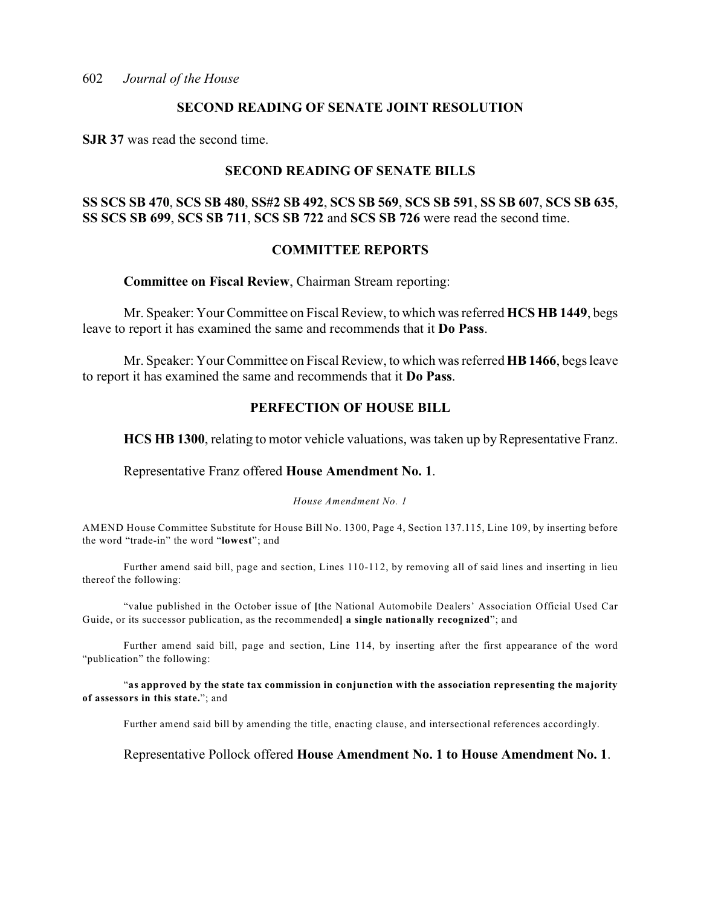## **SECOND READING OF SENATE JOINT RESOLUTION**

**SJR 37** was read the second time.

## **SECOND READING OF SENATE BILLS**

**SS SCS SB 470**, **SCS SB 480**, **SS#2 SB 492**, **SCS SB 569**, **SCS SB 591**, **SS SB 607**, **SCS SB 635**, **SS SCS SB 699**, **SCS SB 711**, **SCS SB 722** and **SCS SB 726** were read the second time.

#### **COMMITTEE REPORTS**

**Committee on Fiscal Review**, Chairman Stream reporting:

Mr. Speaker: Your Committee on Fiscal Review, to which was referred **HCS HB 1449**, begs leave to report it has examined the same and recommends that it **Do Pass**.

Mr. Speaker: Your Committee on Fiscal Review, to which was referred **HB 1466**, begs leave to report it has examined the same and recommends that it **Do Pass**.

#### **PERFECTION OF HOUSE BILL**

**HCS HB 1300**, relating to motor vehicle valuations, was taken up by Representative Franz.

#### Representative Franz offered **House Amendment No. 1**.

#### *House Amendment No. 1*

AMEND House Committee Substitute for House Bill No. 1300, Page 4, Section 137.115, Line 109, by inserting before the word "trade-in" the word "**lowest**"; and

Further amend said bill, page and section, Lines 110-112, by removing all of said lines and inserting in lieu thereof the following:

"value published in the October issue of **[**the National Automobile Dealers' Association Official Used Car Guide, or its successor publication, as the recommended**] a single nationally recognized**"; and

Further amend said bill, page and section, Line 114, by inserting after the first appearance of the word "publication" the following:

"**as approved by the state tax commission in conjunction with the association representing the majority of assessors in this state.**"; and

Further amend said bill by amending the title, enacting clause, and intersectional references accordingly.

Representative Pollock offered **House Amendment No. 1 to House Amendment No. 1**.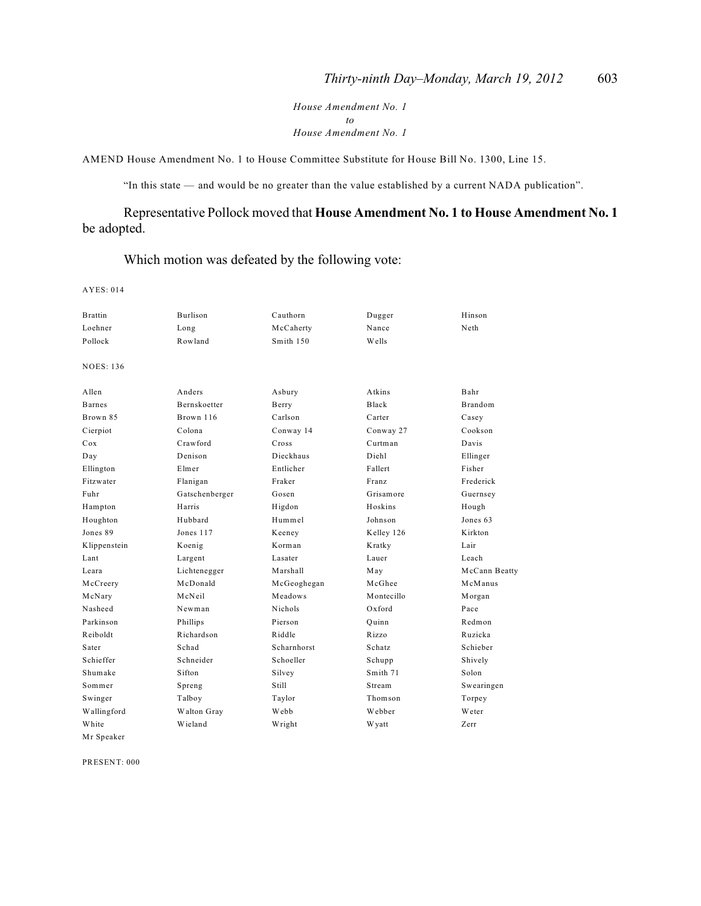*House Amendment No. 1 to House Amendment No. 1*

AMEND House Amendment No. 1 to House Committee Substitute for House Bill No. 1300, Line 15.

"In this state — and would be no greater than the value established by a current NADA publication".

Representative Pollock moved that **House Amendment No. 1 to House Amendment No. 1** be adopted.

# Which motion was defeated by the following vote:

AYES: 014

| <b>Brattin</b>   | Burlison       | Cauthorn    | Dugger        | Hinson         |
|------------------|----------------|-------------|---------------|----------------|
| Loehner          | Long           | McCaherty   | Nance         | Neth           |
| Pollock          | Rowland        | Smith $150$ | Wells         |                |
| <b>NOES: 136</b> |                |             |               |                |
| A llen           | Anders         | Asbury      | <b>Atkins</b> | Bahr           |
| <b>Barnes</b>    | Bernskoetter   | Berry       | <b>Black</b>  | <b>Brandom</b> |
| Brown 85         | Brown 116      | Carlson     | Carter        | Casey          |
| Cierpiot         | Colona         | Conway 14   | Conway 27     | Cookson        |
| Cox              | Crawford       | Cross       | Curtman       | Davis          |
| Day              | Denison        | Dieckhaus   | Diehl         | Ellinger       |
| Ellington        | Elmer          | Entlicher   | Fallert       | Fisher         |
| Fitzwater        | Flanigan       | Fraker      | <b>Franz</b>  | Frederick      |
| Fuhr             | Gatschenberger | Gosen       | Grisamore     | Guernsey       |
| Hampton          | Harris         | Higdon      | Hoskins       | Hough          |
| Houghton         | Hubbard        | Hummel      | Johnson       | Jones 63       |
| Jones 89         | Jones 117      | Keeney      | Kelley 126    | K irkton       |
| Klippenstein     | Koenig         | Korman      | Kratky        | Lair           |
| Lant             | Largent        | Lasater     | Lauer         | Leach          |
| Leara            | Lichtenegger   | Marshall    | May           | McCann Beatty  |
| McCreery         | McDonald       | McGeoghegan | McGhee        | McManus        |
| McNary           | McNeil         | Meadows     | Montecillo    | Morgan         |
| Nasheed          | Newman         | Nichols     | Oxford        | Pace           |
| Parkinson        | Phillips       | Pierson     | Ouinn         | Redmon         |
| Reiboldt         | Richardson     | Riddle      | Rizzo         | Ruzicka        |
| Sater            | Schad          | Scharnhorst | Schatz        | Schieber       |
| Schieffer        | Schneider      | Schoeller   | Schupp        | Shively        |
| Shumake          | Sifton         | Silvey      | Smith 71      | Solon          |
| Sommer           | Spreng         | Still       | Stream        | Swearingen     |
| Swinger          | Talboy         | Taylor      | Thomson       | Torpey         |
| Wallingford      | Walton Gray    | W ebb       | Webber        | Weter          |
| White            | Wieland        | Wright      | W yatt        | Zerr           |

PRESENT: 000

Mr Speaker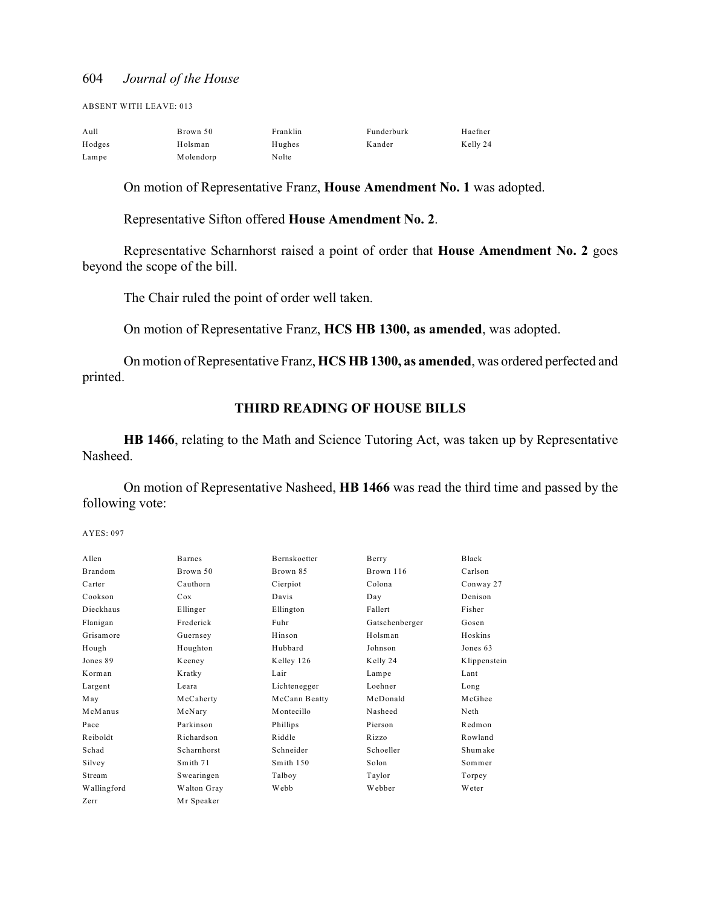## 604 *Journal of the House*

| <b>ABSENT WITH LEAVE: 013</b> |
|-------------------------------|
|-------------------------------|

| Aull   | Brown 50  | Franklin | Funderburk | Haefner  |
|--------|-----------|----------|------------|----------|
| Hodges | Holsman   | Hughes   | Kander     | Kelly 24 |
| Lampe  | Molendorp | Nolte    |            |          |

On motion of Representative Franz, **House Amendment No. 1** was adopted.

Representative Sifton offered **House Amendment No. 2**.

Representative Scharnhorst raised a point of order that **House Amendment No. 2** goes beyond the scope of the bill.

The Chair ruled the point of order well taken.

On motion of Representative Franz, **HCS HB 1300, as amended**, was adopted.

On motion of Representative Franz, **HCS HB 1300, as amended**, was ordered perfected and printed.

#### **THIRD READING OF HOUSE BILLS**

**HB 1466**, relating to the Math and Science Tutoring Act, was taken up by Representative Nasheed.

On motion of Representative Nasheed, **HB 1466** was read the third time and passed by the following vote:

AYES: 097

| A llen         | <b>Barnes</b> | <b>Bernskoetter</b> | Berry          | Black        |
|----------------|---------------|---------------------|----------------|--------------|
| <b>Brandom</b> | Brown 50      | Brown 85            | Brown 116      | Carlson      |
| Carter         | Cauthorn      | Cierpiot            | Colona         | Conway 27    |
| Cookson        | Cox           | Davis               | Day            | Denison      |
| Dieckhaus      | Ellinger      | Ellington           | Fallert        | Fisher       |
| Flanigan       | Frederick     | Fuhr                | Gatschenberger | Gosen        |
| Grisamore      | Guernsey      | Hinson              | Holsman        | Hoskins      |
| Hough          | Houghton      | Hubbard             | Johnson        | Jones 63     |
| Jones 89       | Keeney        | Kelley 126          | Kelly 24       | Klippenstein |
| Korman         | Kratky        | Lair                | Lampe          | Lant         |
| Largent        | Leara         | Lichtenegger        | Loehner        | Long         |
| May            | McCaherty     | McCann Beatty       | McDonald       | McGhee       |
| McManus        | McNary        | Montecillo          | Nasheed        | Neth         |
| Pace           | Parkinson     | Phillips            | Pierson        | Redmon       |
| Reiboldt       | Richardson    | Riddle              | Rizzo          | Rowland      |
| Schad          | Scharnhorst   | Schneider           | Schoeller      | Shumake      |
| Silvey         | Smith 71      | Smith 150           | Solon          | Sommer       |
| Stream         | Swearingen    | Talboy              | Taylor         | Torpey       |
| Wallingford    | Walton Gray   | Webb                | Webber         | Weter        |
| Zerr           | Mr Speaker    |                     |                |              |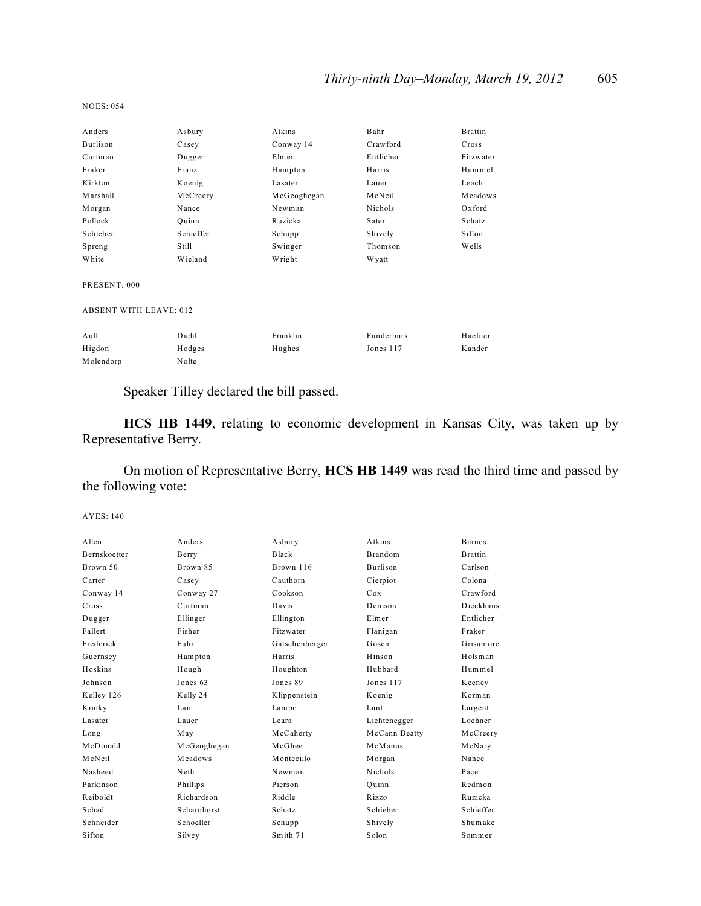| Anders                        | Asbury    | Atkins      | Bahr       | <b>Brattin</b> |  |
|-------------------------------|-----------|-------------|------------|----------------|--|
| Burlison                      | Casey     | Conway 14   | Crawford   | Cross          |  |
| Curtman                       | Dugger    | Elmer       | Entlicher  | Fitzwater      |  |
| Fraker                        | Franz     | Hampton     | Harris     | Hummel         |  |
| Kirkton                       | Koenig    | Lasater     | Lauer      | Leach          |  |
| Marshall                      | McCreery  | McGeoghegan | McNeil     | Meadows        |  |
| Morgan                        | Nance     | Newman      | Nichols    | Oxford         |  |
| Pollock                       | Quinn     | Ruzicka     | Sater      | Schatz         |  |
| Schieber                      | Schieffer | Schupp      | Shively    | Sifton         |  |
| Spreng                        | Still     | Swinger     | Thomson    | Wells          |  |
| White                         | Wieland   | Wright      | W yatt     |                |  |
| PRESENT: 000                  |           |             |            |                |  |
| <b>ABSENT WITH LEAVE: 012</b> |           |             |            |                |  |
| Aull                          | Diehl     | Franklin    | Funderburk | Haefner        |  |
| Higdon                        | Hodges    | Hughes      | Jones 117  | Kander         |  |
| Molendorp                     | Nolte     |             |            |                |  |

Speaker Tilley declared the bill passed.

**HCS HB 1449**, relating to economic development in Kansas City, was taken up by Representative Berry.

On motion of Representative Berry, **HCS HB 1449** was read the third time and passed by the following vote:

AYES: 140

| A llen              | Anders      | Asbury         | Atkins          | <b>Barnes</b>  |
|---------------------|-------------|----------------|-----------------|----------------|
| <b>Bernskoetter</b> | Berry       | Black          | <b>Brandom</b>  | <b>Brattin</b> |
| Brown 50            | Brown 85    | Brown 116      | <b>Burlison</b> | Carlson        |
| Carter              | Casey       | Cauthorn       | Cierpiot        | Colona         |
| Conway 14           | Conway 27   | Cookson        | Cox             | Crawford       |
| Cross               | Curtman     | Davis          | Denison         | Dieckhaus      |
| Dugger              | Ellinger    | Ellington      | Elmer           | Entlicher      |
| Fallert             | Fisher      | Fitzwater      | Flanigan        | Fraker         |
| Frederick           | Fuhr        | Gatschenberger | Gosen           | Grisamore      |
| Guernsey            | Hampton     | Harris         | Hinson          | Holsman        |
| Hoskins             | Hough       | Houghton       | Hubbard         | Hummel         |
| Johnson             | Jones 63    | Jones 89       | Jones 117       | Keeney         |
| Kelley 126          | Kelly 24    | Klippenstein   | Koenig          | Korman         |
| Kratky              | Lair        | Lampe          | Lant            | Largent        |
| Lasater             | Lauer       | Leara          | Lichtenegger    | Loehner        |
| Long                | May         | McCaherty      | McCann Beatty   | McCreery       |
| McDonald            | McGeoghegan | McGhee         | McManus         | McNary         |
| McNeil              | Meadows     | Montecillo     | Morgan          | Nance          |
| Nasheed             | Neth        | Newman         | <b>Nichols</b>  | Pace           |
| Parkinson           | Phillips    | Pierson        | Ouinn           | Redmon         |
| Reiboldt            | Richardson  | Riddle         | Rizzo           | Ruzicka        |
| Schad               | Scharnhorst | Schatz         | Schieber        | Schieffer      |
| Schneider           | Schoeller   | Schupp         | Shively         | Shumake        |
| Sifton              | Silvey      | Smith 71       | Solon           | Sommer         |

NOES: 054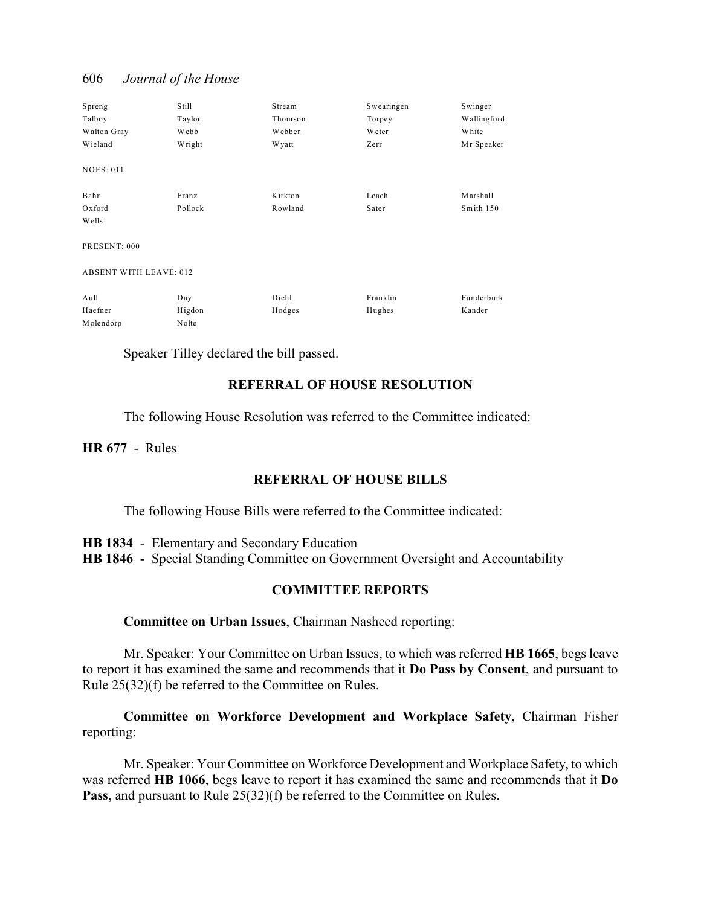# 606 *Journal of the House*

| Spreng                        | Still   | Stream  | Swearingen | Swinger     |
|-------------------------------|---------|---------|------------|-------------|
| Talboy                        | Taylor  | Thomson | Torpey     | Wallingford |
| Walton Gray                   | Webb    | Webber  | Weter      | White       |
| Wieland                       | Wright  | W yatt  | Zerr       | Mr Speaker  |
| <b>NOES: 011</b>              |         |         |            |             |
| Bahr                          | Franz   | Kirkton | Leach      | Marshall    |
| Oxford                        | Pollock | Rowland | Sater      | Smith 150   |
| Wells                         |         |         |            |             |
| PRESENT: 000                  |         |         |            |             |
| <b>ABSENT WITH LEAVE: 012</b> |         |         |            |             |
| Aull                          | Day     | Diehl   | Franklin   | Funderburk  |
| Haefner                       | Higdon  | Hodges  | Hughes     | Kander      |
| Molendorp                     | Nolte   |         |            |             |

Speaker Tilley declared the bill passed.

# **REFERRAL OF HOUSE RESOLUTION**

The following House Resolution was referred to the Committee indicated:

**HR 677** - Rules

# **REFERRAL OF HOUSE BILLS**

The following House Bills were referred to the Committee indicated:

**HB 1834** - Elementary and Secondary Education **HB 1846** - Special Standing Committee on Government Oversight and Accountability

# **COMMITTEE REPORTS**

# **Committee on Urban Issues**, Chairman Nasheed reporting:

Mr. Speaker: Your Committee on Urban Issues, to which was referred **HB 1665**, begs leave to report it has examined the same and recommends that it **Do Pass by Consent**, and pursuant to Rule 25(32)(f) be referred to the Committee on Rules.

**Committee on Workforce Development and Workplace Safety**, Chairman Fisher reporting:

Mr. Speaker: Your Committee on Workforce Development and Workplace Safety, to which was referred **HB 1066**, begs leave to report it has examined the same and recommends that it **Do Pass**, and pursuant to Rule 25(32)(f) be referred to the Committee on Rules.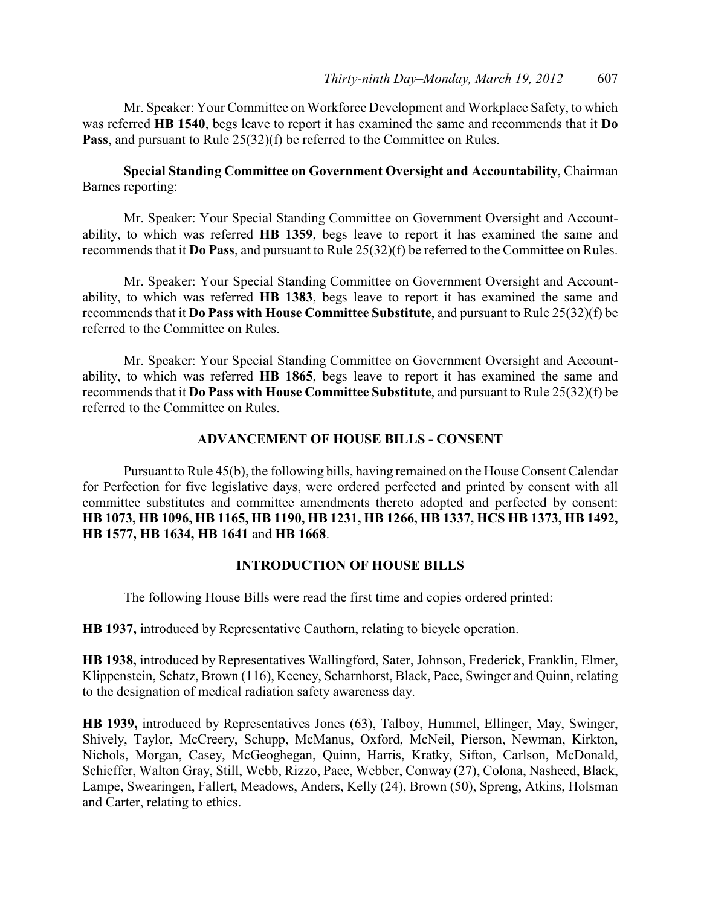Mr. Speaker: Your Committee on Workforce Development and Workplace Safety, to which was referred **HB 1540**, begs leave to report it has examined the same and recommends that it **Do Pass**, and pursuant to Rule 25(32)(f) be referred to the Committee on Rules.

**Special Standing Committee on Government Oversight and Accountability**, Chairman Barnes reporting:

Mr. Speaker: Your Special Standing Committee on Government Oversight and Accountability, to which was referred **HB 1359**, begs leave to report it has examined the same and recommends that it **Do Pass**, and pursuant to Rule 25(32)(f) be referred to the Committee on Rules.

Mr. Speaker: Your Special Standing Committee on Government Oversight and Accountability, to which was referred **HB 1383**, begs leave to report it has examined the same and recommends that it **Do Pass with House Committee Substitute**, and pursuant to Rule 25(32)(f) be referred to the Committee on Rules.

Mr. Speaker: Your Special Standing Committee on Government Oversight and Accountability, to which was referred **HB 1865**, begs leave to report it has examined the same and recommends that it **Do Pass with House Committee Substitute**, and pursuant to Rule 25(32)(f) be referred to the Committee on Rules.

## **ADVANCEMENT OF HOUSE BILLS - CONSENT**

Pursuant to Rule 45(b), the following bills, having remained on the House Consent Calendar for Perfection for five legislative days, were ordered perfected and printed by consent with all committee substitutes and committee amendments thereto adopted and perfected by consent: **HB 1073, HB 1096, HB 1165, HB 1190, HB 1231, HB 1266, HB 1337, HCS HB 1373, HB 1492, HB 1577, HB 1634, HB 1641** and **HB 1668**.

## **INTRODUCTION OF HOUSE BILLS**

The following House Bills were read the first time and copies ordered printed:

**HB 1937,** introduced by Representative Cauthorn, relating to bicycle operation.

**HB 1938,** introduced by Representatives Wallingford, Sater, Johnson, Frederick, Franklin, Elmer, Klippenstein, Schatz, Brown (116), Keeney, Scharnhorst, Black, Pace, Swinger and Quinn, relating to the designation of medical radiation safety awareness day.

**HB 1939,** introduced by Representatives Jones (63), Talboy, Hummel, Ellinger, May, Swinger, Shively, Taylor, McCreery, Schupp, McManus, Oxford, McNeil, Pierson, Newman, Kirkton, Nichols, Morgan, Casey, McGeoghegan, Quinn, Harris, Kratky, Sifton, Carlson, McDonald, Schieffer, Walton Gray, Still, Webb, Rizzo, Pace, Webber, Conway (27), Colona, Nasheed, Black, Lampe, Swearingen, Fallert, Meadows, Anders, Kelly (24), Brown (50), Spreng, Atkins, Holsman and Carter, relating to ethics.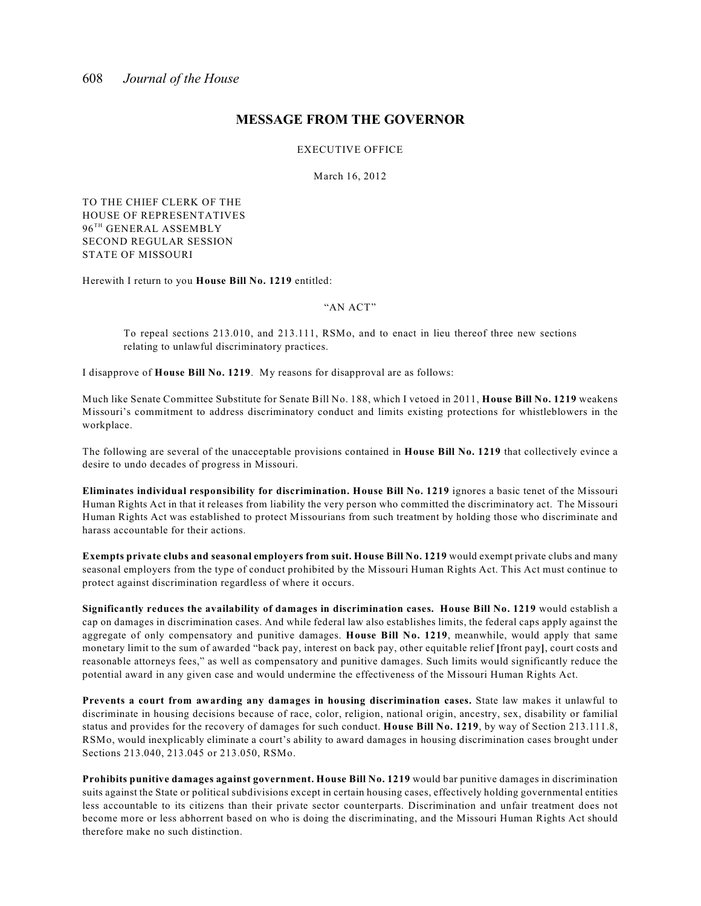#### **MESSAGE FROM THE GOVERNOR**

#### EXECUTIVE OFFICE

March 16, 2012

TO THE CHIEF CLERK OF THE HOUSE OF REPRESENTATIVES  $96<sup>TH</sup>$  GENERAL ASSEMBLY SECOND REGULAR SESSION STATE OF MISSOURI

Herewith I return to you **House Bill No. 1219** entitled:

#### "AN ACT"

To repeal sections 213.010, and 213.111, RSMo, and to enact in lieu thereof three new sections relating to unlawful discriminatory practices.

I disapprove of **House Bill No. 1219**. My reasons for disapproval are as follows:

Much like Senate Committee Substitute for Senate Bill No. 188, which I vetoed in 2011, **House Bill No. 1219** weakens Missouri's commitment to address discriminatory conduct and limits existing protections for whistleblowers in the workplace.

The following are several of the unacceptable provisions contained in **House Bill No. 1219** that collectively evince a desire to undo decades of progress in Missouri.

**Eliminates individual responsibility for discrimination. House Bill No. 1219** ignores a basic tenet of the Missouri Human Rights Act in that it releases from liability the very person who committed the discriminatory act. The Missouri Human Rights Act was established to protect Missourians from such treatment by holding those who discriminate and harass accountable for their actions.

**Exempts private clubs and seasonal employers from suit. House Bill No. 1219** would exempt private clubs and many seasonal employers from the type of conduct prohibited by the Missouri Human Rights Act. This Act must continue to protect against discrimination regardless of where it occurs.

**Significantly reduces the availability of damages in discrimination cases. House Bill No. 1219** would establish a cap on damages in discrimination cases. And while federal law also establishes limits, the federal caps apply against the aggregate of only compensatory and punitive damages. **House Bill No. 1219**, meanwhile, would apply that same monetary limit to the sum of awarded "back pay, interest on back pay, other equitable relief **[**front pay**]**, court costs and reasonable attorneys fees," as well as compensatory and punitive damages. Such limits would significantly reduce the potential award in any given case and would undermine the effectiveness of the Missouri Human Rights Act.

**Prevents a court from awarding any damages in housing discrimination cases.** State law makes it unlawful to discriminate in housing decisions because of race, color, religion, national origin, ancestry, sex, disability or familial status and provides for the recovery of damages for such conduct. **House Bill No. 1219**, by way of Section 213.111.8, RSMo, would inexplicably eliminate a court's ability to award damages in housing discrimination cases brought under Sections 213.040, 213.045 or 213.050, RSMo.

**Prohibits punitive damages against government. House Bill No. 1219** would bar punitive damages in discrimination suits against the State or political subdivisions except in certain housing cases, effectively holding governmental entities less accountable to its citizens than their private sector counterparts. Discrimination and unfair treatment does not become more or less abhorrent based on who is doing the discriminating, and the Missouri Human Rights Act should therefore make no such distinction.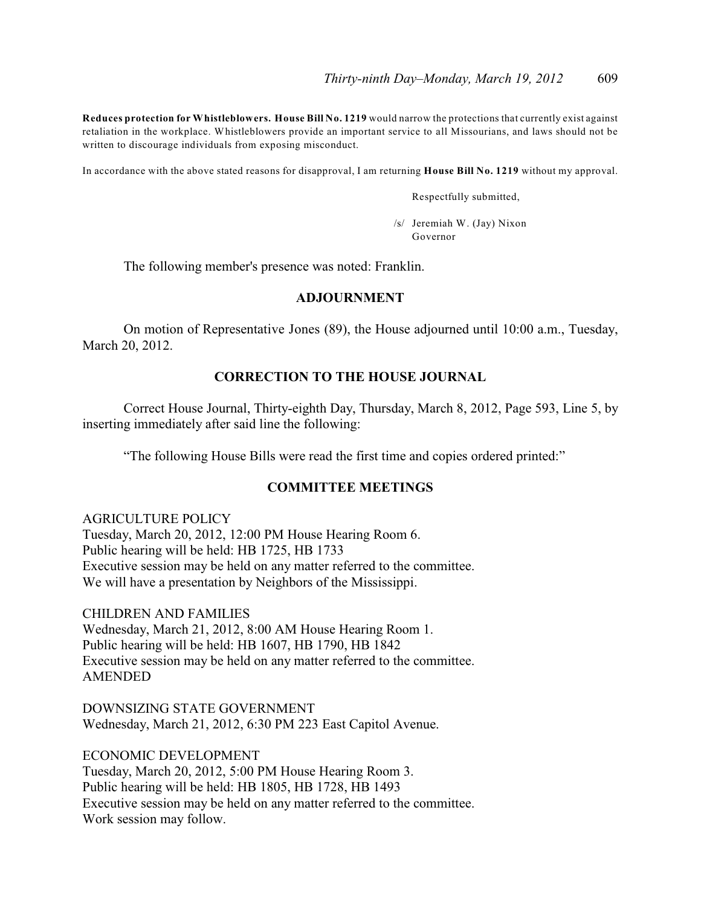**Reduces protection for Whistleblowers. House Bill No. 1219** would narrow the protections that currently exist against retaliation in the workplace. Whistleblowers provide an important service to all Missourians, and laws should not be written to discourage individuals from exposing misconduct.

In accordance with the above stated reasons for disapproval, I am returning **House Bill No. 1219** without my approval.

Respectfully submitted,

 /s/ Jeremiah W. (Jay) Nixon Governor

The following member's presence was noted: Franklin.

#### **ADJOURNMENT**

On motion of Representative Jones (89), the House adjourned until 10:00 a.m., Tuesday, March 20, 2012.

## **CORRECTION TO THE HOUSE JOURNAL**

Correct House Journal, Thirty-eighth Day, Thursday, March 8, 2012, Page 593, Line 5, by inserting immediately after said line the following:

"The following House Bills were read the first time and copies ordered printed:"

## **COMMITTEE MEETINGS**

AGRICULTURE POLICY Tuesday, March 20, 2012, 12:00 PM House Hearing Room 6. Public hearing will be held: HB 1725, HB 1733 Executive session may be held on any matter referred to the committee. We will have a presentation by Neighbors of the Mississippi.

CHILDREN AND FAMILIES Wednesday, March 21, 2012, 8:00 AM House Hearing Room 1. Public hearing will be held: HB 1607, HB 1790, HB 1842 Executive session may be held on any matter referred to the committee. AMENDED

DOWNSIZING STATE GOVERNMENT Wednesday, March 21, 2012, 6:30 PM 223 East Capitol Avenue.

ECONOMIC DEVELOPMENT Tuesday, March 20, 2012, 5:00 PM House Hearing Room 3. Public hearing will be held: HB 1805, HB 1728, HB 1493 Executive session may be held on any matter referred to the committee. Work session may follow.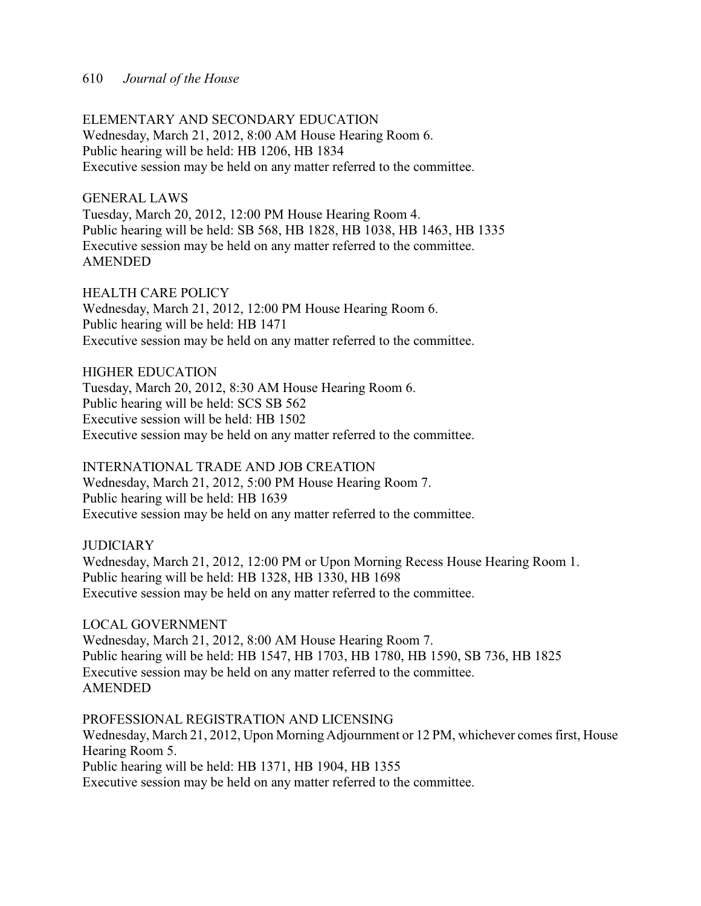# ELEMENTARY AND SECONDARY EDUCATION

Wednesday, March 21, 2012, 8:00 AM House Hearing Room 6. Public hearing will be held: HB 1206, HB 1834 Executive session may be held on any matter referred to the committee.

# GENERAL LAWS

Tuesday, March 20, 2012, 12:00 PM House Hearing Room 4. Public hearing will be held: SB 568, HB 1828, HB 1038, HB 1463, HB 1335 Executive session may be held on any matter referred to the committee. AMENDED

# HEALTH CARE POLICY

Wednesday, March 21, 2012, 12:00 PM House Hearing Room 6. Public hearing will be held: HB 1471 Executive session may be held on any matter referred to the committee.

# HIGHER EDUCATION

Tuesday, March 20, 2012, 8:30 AM House Hearing Room 6. Public hearing will be held: SCS SB 562 Executive session will be held: HB 1502 Executive session may be held on any matter referred to the committee.

# INTERNATIONAL TRADE AND JOB CREATION

Wednesday, March 21, 2012, 5:00 PM House Hearing Room 7. Public hearing will be held: HB 1639 Executive session may be held on any matter referred to the committee.

# JUDICIARY

Wednesday, March 21, 2012, 12:00 PM or Upon Morning Recess House Hearing Room 1. Public hearing will be held: HB 1328, HB 1330, HB 1698 Executive session may be held on any matter referred to the committee.

# LOCAL GOVERNMENT

Wednesday, March 21, 2012, 8:00 AM House Hearing Room 7. Public hearing will be held: HB 1547, HB 1703, HB 1780, HB 1590, SB 736, HB 1825 Executive session may be held on any matter referred to the committee. AMENDED

# PROFESSIONAL REGISTRATION AND LICENSING Wednesday, March 21, 2012, Upon Morning Adjournment or 12 PM, whichever comes first, House Hearing Room 5. Public hearing will be held: HB 1371, HB 1904, HB 1355 Executive session may be held on any matter referred to the committee.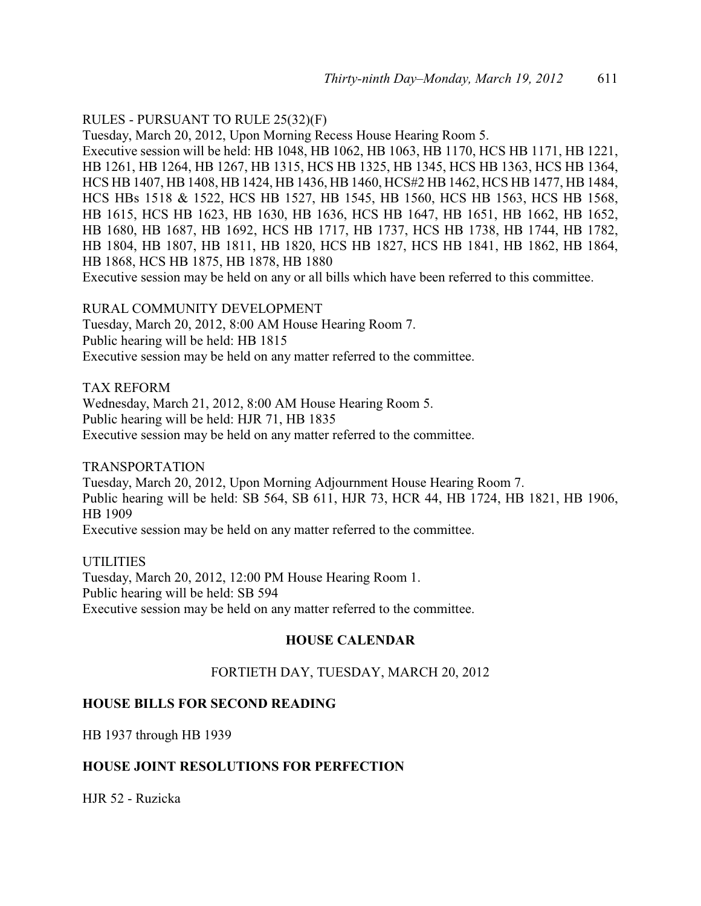## RULES - PURSUANT TO RULE 25(32)(F)

Tuesday, March 20, 2012, Upon Morning Recess House Hearing Room 5. Executive session will be held: HB 1048, HB 1062, HB 1063, HB 1170, HCS HB 1171, HB 1221, HB 1261, HB 1264, HB 1267, HB 1315, HCS HB 1325, HB 1345, HCS HB 1363, HCS HB 1364, HCS HB 1407, HB 1408, HB 1424, HB 1436, HB 1460, HCS#2 HB 1462, HCS HB 1477, HB 1484, HCS HBs 1518 & 1522, HCS HB 1527, HB 1545, HB 1560, HCS HB 1563, HCS HB 1568, HB 1615, HCS HB 1623, HB 1630, HB 1636, HCS HB 1647, HB 1651, HB 1662, HB 1652, HB 1680, HB 1687, HB 1692, HCS HB 1717, HB 1737, HCS HB 1738, HB 1744, HB 1782, HB 1804, HB 1807, HB 1811, HB 1820, HCS HB 1827, HCS HB 1841, HB 1862, HB 1864, HB 1868, HCS HB 1875, HB 1878, HB 1880

Executive session may be held on any or all bills which have been referred to this committee.

RURAL COMMUNITY DEVELOPMENT

Tuesday, March 20, 2012, 8:00 AM House Hearing Room 7. Public hearing will be held: HB 1815 Executive session may be held on any matter referred to the committee.

## TAX REFORM

Wednesday, March 21, 2012, 8:00 AM House Hearing Room 5. Public hearing will be held: HJR 71, HB 1835 Executive session may be held on any matter referred to the committee.

## TRANSPORTATION

Tuesday, March 20, 2012, Upon Morning Adjournment House Hearing Room 7. Public hearing will be held: SB 564, SB 611, HJR 73, HCR 44, HB 1724, HB 1821, HB 1906, HB 1909

Executive session may be held on any matter referred to the committee.

## **UTILITIES**

Tuesday, March 20, 2012, 12:00 PM House Hearing Room 1. Public hearing will be held: SB 594 Executive session may be held on any matter referred to the committee.

# **HOUSE CALENDAR**

# FORTIETH DAY, TUESDAY, MARCH 20, 2012

# **HOUSE BILLS FOR SECOND READING**

HB 1937 through HB 1939

# **HOUSE JOINT RESOLUTIONS FOR PERFECTION**

HJR 52 - Ruzicka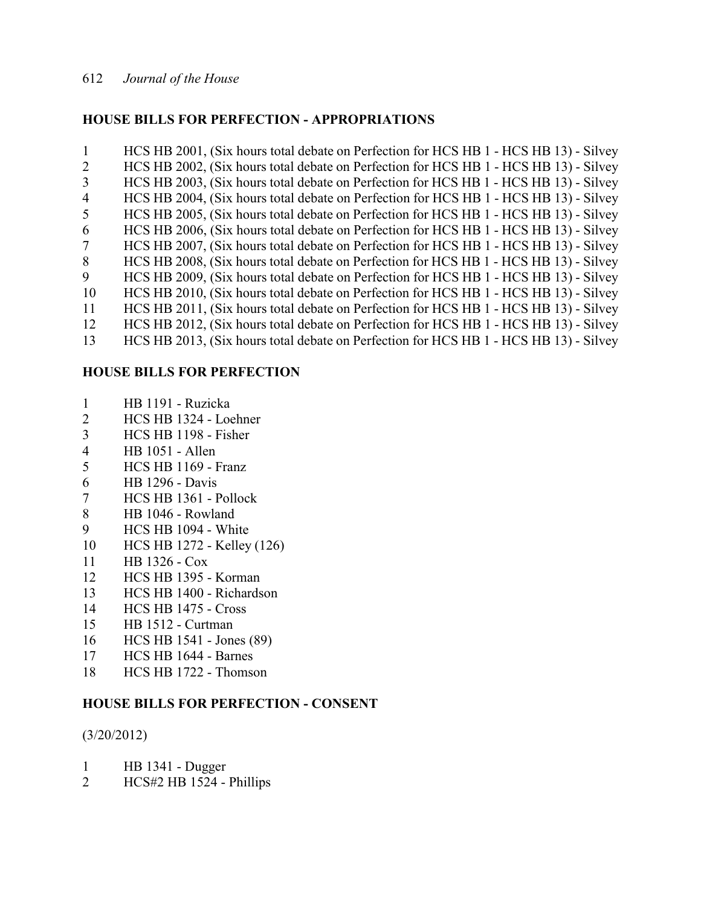# **HOUSE BILLS FOR PERFECTION - APPROPRIATIONS**

 HCS HB 2001, (Six hours total debate on Perfection for HCS HB 1 - HCS HB 13) - Silvey HCS HB 2002, (Six hours total debate on Perfection for HCS HB 1 - HCS HB 13) - Silvey HCS HB 2003, (Six hours total debate on Perfection for HCS HB 1 - HCS HB 13) - Silvey HCS HB 2004, (Six hours total debate on Perfection for HCS HB 1 - HCS HB 13) - Silvey HCS HB 2005, (Six hours total debate on Perfection for HCS HB 1 - HCS HB 13) - Silvey HCS HB 2006, (Six hours total debate on Perfection for HCS HB 1 - HCS HB 13) - Silvey HCS HB 2007, (Six hours total debate on Perfection for HCS HB 1 - HCS HB 13) - Silvey 8 HCS HB 2008, (Six hours total debate on Perfection for HCS HB 1 - HCS HB 13) - Silvey HCS HB 2009, (Six hours total debate on Perfection for HCS HB 1 - HCS HB 13) - Silvey HCS HB 2010, (Six hours total debate on Perfection for HCS HB 1 - HCS HB 13) - Silvey HCS HB 2011, (Six hours total debate on Perfection for HCS HB 1 - HCS HB 13) - Silvey HCS HB 2012, (Six hours total debate on Perfection for HCS HB 1 - HCS HB 13) - Silvey HCS HB 2013, (Six hours total debate on Perfection for HCS HB 1 - HCS HB 13) - Silvey

# **HOUSE BILLS FOR PERFECTION**

- HB 1191 Ruzicka
- HCS HB 1324 Loehner
- HCS HB 1198 Fisher
- HB 1051 Allen
- HCS HB 1169 Franz
- HB 1296 Davis
- HCS HB 1361 Pollock
- HB 1046 Rowland
- HCS HB 1094 White
- HCS HB 1272 Kelley (126)
- HB 1326 Cox
- HCS HB 1395 Korman
- HCS HB 1400 Richardson
- HCS HB 1475 Cross
- HB 1512 Curtman
- HCS HB 1541 Jones (89)
- HCS HB 1644 Barnes
- HCS HB 1722 Thomson

# **HOUSE BILLS FOR PERFECTION - CONSENT**

(3/20/2012)

- 1 HB 1341 Dugger<br>2 HCS#2 HB 1524 -
- HCS#2 HB 1524 Phillips